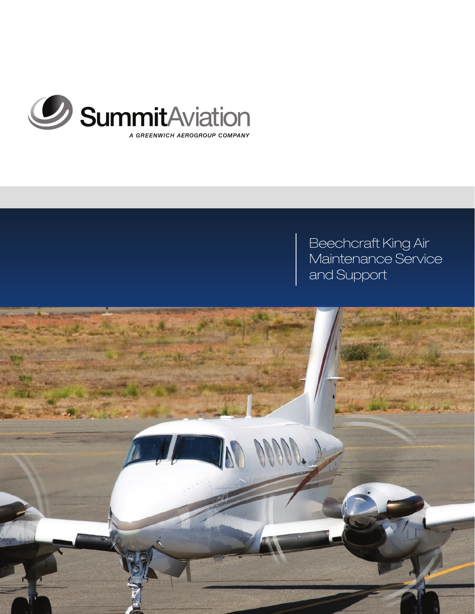

# Beechcraft King Air Maintenance Service and Support

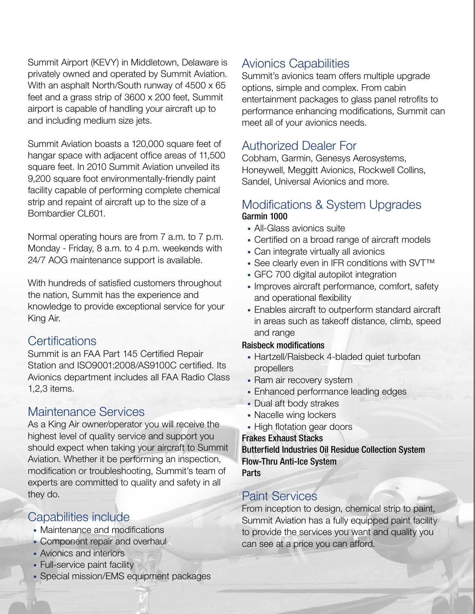Summit Airport (KEVY) in Middletown, Delaware is privately owned and operated by Summit Aviation. With an asphalt North/South runway of 4500 x 65 feet and a grass strip of 3600 x 200 feet, Summit airport is capable of handling your aircraft up to and including medium size jets.

Summit Aviation boasts a 120,000 square feet of hangar space with adjacent office areas of 11,500 square feet. In 2010 Summit Aviation unveiled its 9,200 square foot environmentally-friendly paint facility capable of performing complete chemical strip and repaint of aircraft up to the size of a Bombardier CL601.

Normal operating hours are from 7 a.m. to 7 p.m. Monday - Friday, 8 a.m. to 4 p.m. weekends with 24/7 AOG maintenance support is available.

With hundreds of satisfied customers throughout the nation, Summit has the experience and knowledge to provide exceptional service for your King Air.

### **Certifications**

Summit is an FAA Part 145 Certified Repair Station and ISO9001:2008/AS9100C certified. Its Avionics department includes all FAA Radio Class 1,2,3 items.

### Maintenance Services

As a King Air owner/operator you will receive the highest level of quality service and support you should expect when taking your aircraft to Summit Aviation. Whether it be performing an inspection, modification or troubleshooting, Summit's team of experts are committed to quality and safety in all they do.

### Capabilities include

- Maintenance and modifications
- Component repair and overhaul
- Avionics and interiors
- Full-service paint facility
- Special mission/EMS equipment packages

### Avionics Capabilities

Summit's avionics team offers multiple upgrade options, simple and complex. From cabin entertainment packages to glass panel retrofits to performance enhancing modifications, Summit can meet all of your avionics needs.

## Authorized Dealer For

Cobham, Garmin, Genesys Aerosystems, Honeywell, Meggitt Avionics, Rockwell Collins, Sandel, Universal Avionics and more.

### Modifications & System Upgrades Garmin 1000

- All-Glass avionics suite
- Certified on a broad range of aircraft models
- Can integrate virtually all avionics
- See clearly even in IFR conditions with SVT<sup>™</sup>
- GFC 700 digital autopilot integration
- Improves aircraft performance, comfort, safety and operational flexibility
- Enables aircraft to outperform standard aircraft in areas such as takeoff distance, climb, speed and range

#### Raisbeck modifications

- Hartzell/Raisbeck 4-bladed quiet turbofan propellers
- Ram air recovery system
- Enhanced performance leading edges
- Dual aft body strakes
- Nacelle wing lockers
- High flotation gear doors

#### Frakes Exhaust Stacks

Butterfield Industries Oil Residue Collection System Flow-Thru Anti-Ice System **Parts** 

## Paint Services

From inception to design, chemical strip to paint, Summit Aviation has a fully equipped paint facility to provide the services you want and quality you can see at a price you can afford.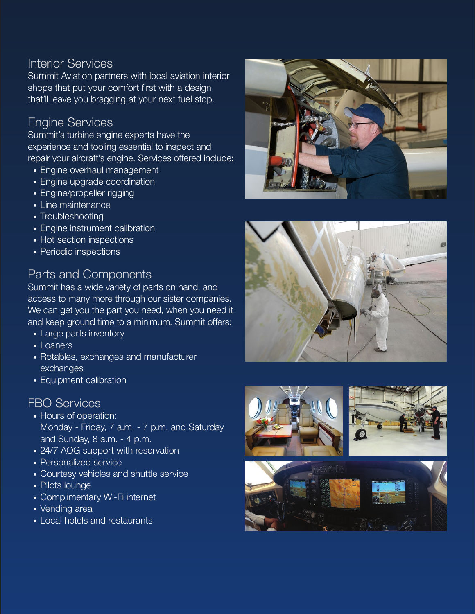### Interior Services

Summit Aviation partners with local aviation interior shops that put your comfort first with a design that'll leave you bragging at your next fuel stop.

## Engine Services

Summit's turbine engine experts have the experience and tooling essential to inspect and repair your aircraft's engine. Services offered include:

- Engine overhaul management
- Engine upgrade coordination
- Engine/propeller rigging
- Line maintenance
- Troubleshooting
- Engine instrument calibration
- Hot section inspections
- Periodic inspections

### Parts and Components

Summit has a wide variety of parts on hand, and access to many more through our sister companies. We can get you the part you need, when you need it and keep ground time to a minimum. Summit offers:

- Large parts inventory
- Loaners
- Rotables, exchanges and manufacturer exchanges
- Equipment calibration

## FBO Services

- Hours of operation: Monday - Friday, 7 a.m. - 7 p.m. and Saturday and Sunday, 8 a.m. - 4 p.m.
- 24/7 AOG support with reservation
- Personalized service
- Courtesy vehicles and shuttle service
- Pilots lounge
- Complimentary Wi-Fi internet
- Vending area
- Local hotels and restaurants